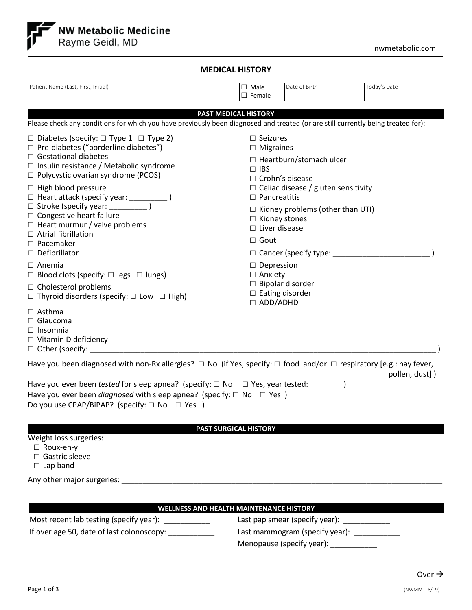

# **MEDICAL HISTORY**

| Patient Name (Last, First, Initial)                                                                                                                                                                                                                                                                                                                                                                                                                                     | $\Box$ Male<br>$\Box$ Female                                                                                                                                 | Date of Birth                                                                                                                                                  | Today's Date   |
|-------------------------------------------------------------------------------------------------------------------------------------------------------------------------------------------------------------------------------------------------------------------------------------------------------------------------------------------------------------------------------------------------------------------------------------------------------------------------|--------------------------------------------------------------------------------------------------------------------------------------------------------------|----------------------------------------------------------------------------------------------------------------------------------------------------------------|----------------|
| <b>PAST MEDICAL HISTORY</b><br>Please check any conditions for which you have previously been diagnosed and treated (or are still currently being treated for):                                                                                                                                                                                                                                                                                                         |                                                                                                                                                              |                                                                                                                                                                |                |
| $\Box$ Diabetes (specify: $\Box$ Type 1 $\Box$ Type 2)<br>$\Box$ Pre-diabetes ("borderline diabetes")<br>$\Box$ Gestational diabetes<br>$\Box$ Insulin resistance / Metabolic syndrome<br>$\Box$ Polycystic ovarian syndrome (PCOS)<br>$\Box$ High blood pressure<br>□ Heart attack (specify year: ______________)<br>$\Box$ Congestive heart failure<br>$\Box$ Heart murmur / valve problems<br>$\Box$ Atrial fibrillation<br>$\Box$ Pacemaker<br>$\Box$ Defibrillator | $\Box$ Seizures<br>$\Box$ Migraines<br>$\Box$ IBS<br>□ Crohn's disease<br>$\Box$ Pancreatitis<br>$\Box$ Kidney stones<br>$\Box$ Liver disease<br>$\Box$ Gout | $\Box$ Heartburn/stomach ulcer<br>$\Box$ Celiac disease / gluten sensitivity<br>$\Box$ Kidney problems (other than UTI)<br>$\Box$ Cancer (specify type: $\Box$ |                |
| $\Box$ Anemia<br>$\Box$ Blood clots (specify: $\Box$ legs $\Box$ lungs)<br>$\Box$ Cholesterol problems<br>$\Box$ Thyroid disorders (specify: $\Box$ Low $\Box$ High)<br>$\Box$ Asthma<br>$\Box$ Glaucoma<br>$\Box$ Insomnia<br>$\Box$ Vitamin D deficiency<br>$\Box$ Other (specify:                                                                                                                                                                                    | $\Box$ Depression<br>$\Box$ Anxiety<br>$\Box$ Bipolar disorder<br>$\Box$ Eating disorder<br>$\Box$ ADD/ADHD                                                  |                                                                                                                                                                |                |
| Have you been diagnosed with non-Rx allergies? $\Box$ No (if Yes, specify: $\Box$ food and/or $\Box$ respiratory [e.g.: hay fever,<br>Have you ever been tested for sleep apnea? (specify: $\Box$ No $\Box$ Yes, year tested: ________ )<br>Have you ever been <i>diagnosed</i> with sleep apnea? (specify: $\Box$ No $\Box$ Yes )<br>Do you use CPAP/BiPAP? (specify: $\Box$ No $\Box$ Yes )                                                                           |                                                                                                                                                              |                                                                                                                                                                | pollen, dust]) |
| <b>PAST SURGICAL HISTORY</b><br>Weight loss surgeries:<br>□ Roux-en-y<br>□ Gastric sleeve<br>$\Box$ Lap band<br>Any other major surgeries:                                                                                                                                                                                                                                                                                                                              |                                                                                                                                                              |                                                                                                                                                                |                |

# **WELLNESS AND HEALTH MAINTENANCE HISTORY**

Most recent lab testing (specify year): \_\_\_\_\_\_\_\_\_\_\_

If over age 50, date of last colonoscopy: \_\_\_\_\_\_\_\_\_\_\_\_\_

| Last pap smear (specify year): |
|--------------------------------|
| Last mammogram (specify year): |
| Menopause (specify year):      |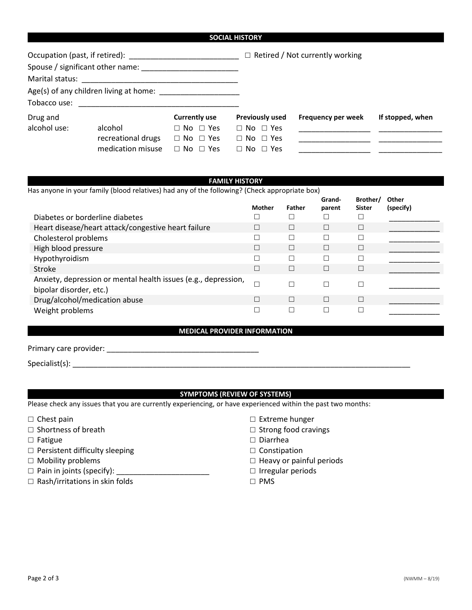| Spouse / significant other name: |                        |                                                                 |                                        |
|----------------------------------|------------------------|-----------------------------------------------------------------|----------------------------------------|
|                                  |                        |                                                                 |                                        |
|                                  |                        |                                                                 |                                        |
|                                  |                        |                                                                 |                                        |
| <b>Currently use</b>             | <b>Previously used</b> | Frequency per week                                              | If stopped, when                       |
| $\Box$ No $\Box$ Yes             | $\Box$ No $\Box$ Yes   |                                                                 |                                        |
| $\Box$ No $\Box$ Yes             | $\Box$ No $\Box$ Yes   |                                                                 |                                        |
| $\Box$ No $\Box$ Yes             | $\Box$ No $\Box$ Yes   |                                                                 |                                        |
|                                  |                        | <b>SOCIAL HISTORY</b><br>Age(s) of any children living at home: | $\Box$ Retired / Not currently working |

### **FAMILY HISTORY**

Has anyone in your family (blood relatives) had any of the following? (Check appropriate box)

|                                                                                           | Mother                   | <b>Father</b> | Grand-<br>parent | Brother/<br><b>Sister</b> | Other<br>(specify) |
|-------------------------------------------------------------------------------------------|--------------------------|---------------|------------------|---------------------------|--------------------|
| Diabetes or borderline diabetes                                                           |                          |               |                  | □                         |                    |
| Heart disease/heart attack/congestive heart failure                                       |                          |               | П                | $\Box$                    |                    |
| Cholesterol problems                                                                      |                          |               |                  | □                         |                    |
| High blood pressure                                                                       |                          |               | П                | $\Box$                    |                    |
| Hypothyroidism                                                                            |                          |               |                  |                           |                    |
| Stroke                                                                                    | $\overline{\phantom{a}}$ | П             | П                | $\Box$                    |                    |
| Anxiety, depression or mental health issues (e.g., depression,<br>bipolar disorder, etc.) |                          |               | Г                | $\Box$                    |                    |
| Drug/alcohol/medication abuse                                                             | ⊓                        | П             | П                | $\Box$                    |                    |
| Weight problems                                                                           |                          |               |                  |                           |                    |

### **MEDICAL PROVIDER INFORMATION**

|  | Primary care provider: |
|--|------------------------|
|  |                        |

Specialist(s): \_\_\_\_\_\_\_\_\_\_\_\_\_\_\_\_\_\_\_\_\_\_\_\_\_\_\_\_\_\_\_\_\_\_\_\_\_\_\_\_\_\_\_\_\_\_\_\_\_\_\_\_\_\_\_\_\_\_\_\_\_\_\_\_\_\_\_\_\_\_\_\_\_\_\_\_\_\_\_\_

# **SYMPTOMS (REVIEW OF SYSTEMS)**

Please check any issues that you are currently experiencing, or have experienced within the past two months:

- $\square$  Chest pain
- $\square$  Shortness of breath
- $\square$  Fatigue
- $\square$  Persistent difficulty sleeping
- $\square$  Mobility problems
- $\Box$  Pain in joints (specify):
- $\Box$  Rash/irritations in skin folds
- □ Extreme hunger
- $\square$  Strong food cravings
- $\square$  Diarrhea
- $\Box$  Constipation
- $\Box$  Heavy or painful periods
- $\Box$  Irregular periods
- PMS